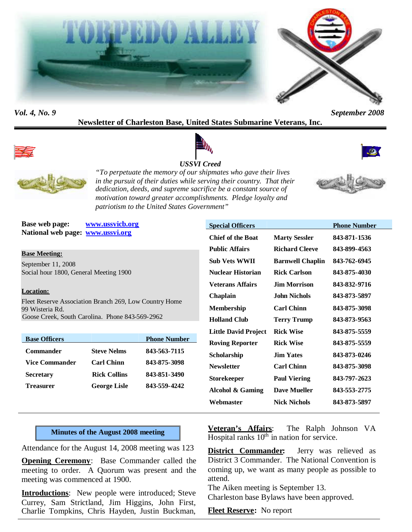



*Vol. 4, No. 9 September 2008*

# **Newsletter of Charleston Base, United States Submarine Veterans, Inc.**



# *USSVI Creed*





*"To perpetuate the memory of our shipmates who gave their lives in the pursuit of their duties while serving their country. That their dedication, deeds, and supreme sacrifice be a constant source of motivation toward greater accomplishments. Pledge loyalty and patriotism to the United States Government"*

**Base web page: www.ussvicb.org National web page: www.ussvi.org**

#### **Base Meeting:**

September 11, 2008 Social hour 1800, General Meeting 1900

#### **Location:**

Fleet Reserve Association Branch 269, Low Country Home 99 Wisteria Rd. Goose Creek, South Carolina. Phone 843-569-2962

| <b>Base Officers</b>  |                     | <b>Phone Number</b> |
|-----------------------|---------------------|---------------------|
| <b>Commander</b>      | <b>Steve Nelms</b>  | 843-563-7115        |
| <b>Vice Commander</b> | <b>Carl Chinn</b>   | 843-875-3098        |
| <b>Secretary</b>      | <b>Rick Collins</b> | 843-851-3490        |
| <b>Treasurer</b>      | <b>George Lisle</b> | 843-559-4242        |

| <b>Special Officers</b>     |                         | <b>Phone Number</b> |
|-----------------------------|-------------------------|---------------------|
| <b>Chief of the Boat</b>    | <b>Marty Sessler</b>    | 843-871-1536        |
| <b>Public Affairs</b>       | <b>Richard Cleeve</b>   | 843-899-4563        |
| Sub Vets WWII               | <b>Barnwell Chaplin</b> | 843-762-6945        |
| Nuclear Historian           | <b>Rick Carlson</b>     | 843-875-4030        |
| Veterans Affairs            | <b>Jim Morrison</b>     | 843-832-9716        |
| Chaplain                    | John Nichols            | 843-873-5897        |
| <b>Membership</b>           | <b>Carl Chinn</b>       | 843-875-3098        |
| <b>Holland Club</b>         | <b>Terry Trump</b>      | 843-873-9563        |
| <b>Little David Project</b> | <b>Rick Wise</b>        | 843-875-5559        |
| <b>Roving Reporter</b>      | <b>Rick Wise</b>        | 843-875-5559        |
| Scholarship                 | <b>Jim Yates</b>        | 843-873-0246        |
| <b>Newsletter</b>           | <b>Carl Chinn</b>       | 843-875-3098        |
| Storekeeper                 | <b>Paul Viering</b>     | 843-797-2623        |
| <b>Alcohol &amp; Gaming</b> | <b>Dave Mueller</b>     | 843-553-2775        |
| Webmaster                   | <b>Nick Nichols</b>     | 843-873-5897        |
|                             |                         |                     |

#### **Minutes of the August 2008 meeting**

Attendance for the August 14, 2008 meeting was 123

**Opening Ceremony**: Base Commander called the meeting to order. A Quorum was present and the meeting was commenced at 1900.

**Introductions**: New people were introduced; Steve Currey, Sam Strictland, Jim Higgins, John First, Charlie Tompkins, Chris Hayden, Justin Buckman,

**Veteran's Affairs**: The Ralph Johnson VA Hospital ranks  $10^{th}$  in nation for service.

**District Commander:** Jerry was relieved as District 3 Commander. The National Convention is coming up, we want as many people as possible to attend.

The Aiken meeting is September 13. Charleston base Bylaws have been approved.

**Fleet Reserve:** No report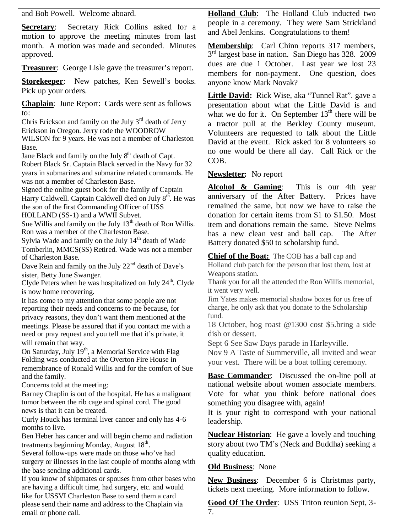and Bob Powell. Welcome aboard.

**Secretary:** Secretary Rick Collins asked for a motion to approve the meeting minutes from last month. A motion was made and seconded. Minutes approved.

**Treasurer:** George Lisle gave the treasurer's report.

**Storekeeper**: New patches, Ken Sewell's books. Pick up your orders.

**Chaplain**: June Report: Cards were sent as follows to:

Chris Erickson and family on the July  $3<sup>rd</sup>$  death of Jerry Erickson in Oregon. Jerry rode the WOODROW WILSON for 9 years. He was not a member of Charleston Base.

Jane Black and family on the July  $8<sup>th</sup>$  death of Capt. Robert Black Sr. Captain Black served in the Navy for 32 years in submarines and submarine related commands. He was not a member of Charleston Base.

Signed the online guest book for the family of Captain Harry Caldwell. Captain Caldwell died on July 8<sup>th</sup>. He was the son of the first Commanding Officer of USS

HOLLAND (SS-1) and a WWII Subvet.

Sue Willis and family on the July  $13<sup>th</sup>$  death of Ron Willis. Ron was a member of the Charleston Base.

Sylvia Wade and family on the July  $14<sup>th</sup>$  death of Wade Tomberlin, MMCS(SS) Retired. Wade was not a member of Charleston Base.

Dave Rein and family on the July  $22<sup>nd</sup>$  death of Dave's sister, Betty June Swanger.

Clyde Peters when he was hospitalized on July  $24<sup>th</sup>$ . Clyde is now home recovering.

It has come to my attention that some people are not reporting their needs and concerns to me because, for privacy reasons, they don't want them mentioned at the meetings. Please be assured that if you contact me with a need or pray request and you tell me that it's private, it will remain that way.

On Saturday, July  $19<sup>th</sup>$ , a Memorial Service with Flag Folding was conducted at the Overton Fire House in remembrance of Ronald Willis and for the comfort of Sue and the family.

Concerns told at the meeting:

Barney Chaplin is out of the hospital. He has a malignant tumor between the rib cage and spinal cord. The good news is that it can be treated.

Curly Houck has terminal liver cancer and only has 4-6 months to live.

Ben Heber has cancer and will begin chemo and radiation treatments beginning Monday, August 18<sup>th</sup>.

Several follow-ups were made on those who've had surgery or illnesses in the last couple of months along with the base sending additional cards.

If you know of shipmates or spouses from other bases who are having a difficult time, had surgery, etc. and would like for USSVI Charleston Base to send them a card please send their name and address to the Chaplain via email or phone call.

**Holland Club**: The Holland Club inducted two people in a ceremony. They were Sam Strickland and Abel Jenkins. Congratulations to them!

**Membership**: Carl Chinn reports 317 members, 3<sup>rd</sup> largest base in nation. San Diego has 328. 2009 dues are due 1 October. Last year we lost 23 members for non-payment. One question, does anyone know Mark Novak?

**Little David:** Rick Wise, aka "Tunnel Rat". gave a presentation about what the Little David is and what we do for it. On September  $13<sup>th</sup>$  there will be a tractor pull at the Berkley County museum. Volunteers are requested to talk about the Little David at the event. Rick asked for 8 volunteers so no one would be there all day. Call Rick or the COB.

# **Newsletter:** No report

**Alcohol & Gaming**: This is our 4th year anniversary of the After Battery. Prices have remained the same, but now we have to raise the donation for certain items from \$1 to \$1.50. Most item and donations remain the same. Steve Nelms has a new clean vest and ball cap. The After Battery donated \$50 to scholarship fund.

**Chief of the Boat:** The COB has a ball cap and Holland club patch for the person that lost them, lost at Weapons station.

Thank you for all the attended the Ron Willis memorial, it went very well.

Jim Yates makes memorial shadow boxes for us free of charge, he only ask that you donate to the Scholarship fund.

18 October, hog roast @1300 cost \$5.bring a side dish or dessert.

Sept 6 See Saw Days parade in Harleyville.

Nov 9 A Taste of Summerville, all invited and wear your vest. There will be a boat tolling ceremony.

**Base Commander:** Discussed the on-line poll at national website about women associate members. Vote for what you think before national does something you disagree with, again!

It is your right to correspond with your national leadership.

**Nuclear Historian**: He gave a lovely and touching story about two TM's (Neck and Buddha) seeking a quality education.

# **Old Business**: None

**New Business**: December 6 is Christmas party, tickets next meeting. More information to follow.

**Good Of The Order**: USS Triton reunion Sept, 3- 7.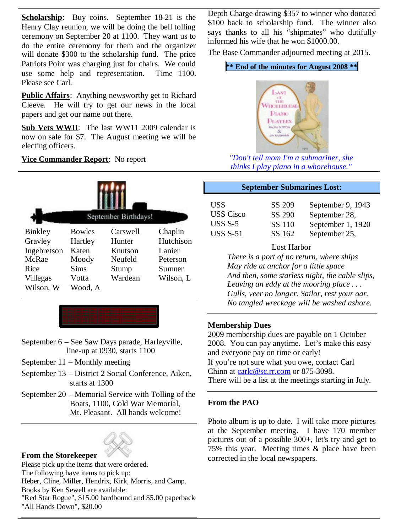**Scholarship**: Buy coins. September 18-21 is the Henry Clay reunion, we will be doing the bell tolling ceremony on September 20 at 1100. They want us to do the entire ceremony for them and the organizer will donate \$300 to the scholarship fund. The price Patriots Point was charging just for chairs. We could use some help and representation. Time 1100. Please see Carl.

**Public Affairs**: Anything newsworthy get to Richard Cleeve. He will try to get our news in the local papers and get our name out there.

**Sub Vets WWII**: The last WW11 2009 calendar is now on sale for \$7. The August meeting we will be electing officers.

**Vice Commander Report**: No report

| September Birthdays! |               |          |           |  |
|----------------------|---------------|----------|-----------|--|
| <b>Binkley</b>       | <b>Bowles</b> | Carswell | Chaplin   |  |
| Gravley              | Hartley       | Hunter   | Hutchison |  |
| Ingebretson          | Katen         | Knutson  | Lanier    |  |
| McRae                | Moody         | Neufeld  | Peterson  |  |
| Rice                 | Sims          | Stump    | Sumner    |  |
| Villegas             | Votta         | Wardean  | Wilson, L |  |
| Wilson, W            | Wood, A       |          |           |  |

- September 6 See Saw Days parade, Harleyville, line-up at 0930, starts 1100
- September 11 Monthly meeting
- September 13 District 2 Social Conference, Aiken, starts at 1300
- September 20 Memorial Service with Tolling of the Boats, 1100, Cold War Memorial, Mt. Pleasant. All hands welcome!

# **From the Storekeeper**

Please pick up the items that were ordered. The following have items to pick up: Heber, Cline, Miller, Hendrix, Kirk, Morris, and Camp. Books by Ken Sewell are available: "Red Star Rogue", \$15.00 hardbound and \$5.00 paperback "All Hands Down", \$20.00

Depth Charge drawing \$357 to winner who donated \$100 back to scholarship fund. The winner also says thanks to all his "shipmates" who dutifully informed his wife that he won \$1000.00.

The Base Commander adjourned meeting at 2015.

#### **\*\* End of the minutes for August 2008 \*\***



*"Don't tell mom I'm a submariner, she thinks I play piano in a whorehouse."*

#### **September Submarines Lost:**

| USS              | SS 209 | September 9, 1943 |
|------------------|--------|-------------------|
| <b>USS</b> Cisco | SS 290 | September 28,     |
| USS $S-5$        | SS 110 | September 1, 1920 |
| USS $S-51$       | SS 162 | September 25,     |

#### Lost Harbor

*There is a port of no return, where ships May ride at anchor for a little space And then, some starless night, the cable slips, Leaving an eddy at the mooring place . . . Gulls, veer no longer. Sailor, rest your oar. No tangled wreckage will be washed ashore.*

#### **Membership Dues**

2009 membership dues are payable on 1 October 2008. You can pay anytime. Let's make this easy and everyone pay on time or early! If you're not sure what you owe, contact Carl Chinn at carlc@sc.rr.com or 875-3098. There will be a list at the meetings starting in July.

# **From the PAO**

Photo album is up to date. I will take more pictures at the September meeting. I have 170 member pictures out of a possible 300+, let's try and get to 75% this year. Meeting times & place have been corrected in the local newspapers.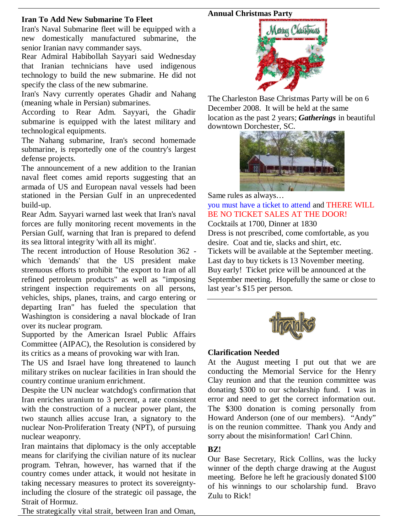## **Annual Christmas Party**

# **Iran To Add New Submarine To Fleet**

Iran's Naval Submarine fleet will be equipped with a new domestically manufactured submarine, the senior Iranian navy commander says.

Rear Admiral Habibollah Sayyari said Wednesday that Iranian technicians have used indigenous technology to build the new submarine. He did not specify the class of the new submarine.

Iran's Navy currently operates Ghadir and Nahang (meaning whale in Persian) submarines.

According to Rear Adm. Sayyari, the Ghadir submarine is equipped with the latest military and technological equipments.

The Nahang submarine, Iran's second homemade submarine, is reportedly one of the country's largest defense projects.

The announcement of a new addition to the Iranian naval fleet comes amid reports suggesting that an armada of US and European naval vessels had been stationed in the Persian Gulf in an unprecedented build-up.

Rear Adm. Sayyari warned last week that Iran's naval forces are fully monitoring recent movements in the Persian Gulf, warning that Iran is prepared to defend its sea littoral integrity 'with all its might'.

The recent introduction of House Resolution 362 which 'demands' that the US president make strenuous efforts to prohibit "the export to Iran of all refined petroleum products" as well as "imposing stringent inspection requirements on all persons, vehicles, ships, planes, trains, and cargo entering or departing Iran" has fueled the speculation that Washington is considering a naval blockade of Iran over its nuclear program.

Supported by the American Israel Public Affairs Committee (AIPAC), the Resolution is considered by its critics as a means of provoking war with Iran.

The US and Israel have long threatened to launch military strikes on nuclear facilities in Iran should the country continue uranium enrichment.

Despite the UN nuclear watchdog's confirmation that Iran enriches uranium to 3 percent, a rate consistent with the construction of a nuclear power plant, the two staunch allies accuse Iran, a signatory to the nuclear Non-Proliferation Treaty (NPT), of pursuing nuclear weaponry.

Iran maintains that diplomacy is the only acceptable means for clarifying the civilian nature of its nuclear program. Tehran, however, has warned that if the country comes under attack, it would not hesitate in taking necessary measures to protect its sovereigntyincluding the closure of the strategic oil passage, the Strait of Hormuz.

The strategically vital strait, between Iran and Oman,



The Charleston Base Christmas Party will be on 6 December 2008. It will be held at the same location as the past 2 years; *Gatherings* in beautiful downtown Dorchester, SC.



Same rules as always… you must have a ticket to attend and THERE WILL BE NO TICKET SALES AT THE DOOR!

Cocktails at 1700, Dinner at 1830

Dress is not prescribed, come comfortable, as you desire. Coat and tie, slacks and shirt, etc. Tickets will be available at the September meeting. Last day to buy tickets is 13 November meeting. Buy early! Ticket price will be announced at the September meeting. Hopefully the same or close to last year's \$15 per person.



# **Clarification Needed**

At the August meeting I put out that we are conducting the Memorial Service for the Henry Clay reunion and that the reunion committee was donating \$300 to our scholarship fund. I was in error and need to get the correct information out. The \$300 donation is coming personally from Howard Anderson (one of our members). "Andy" is on the reunion committee. Thank you Andy and sorry about the misinformation! Carl Chinn.

# **BZ!**

Our Base Secretary, Rick Collins, was the lucky winner of the depth charge drawing at the August meeting. Before he left he graciously donated \$100 of his winnings to our scholarship fund. Bravo Zulu to Rick!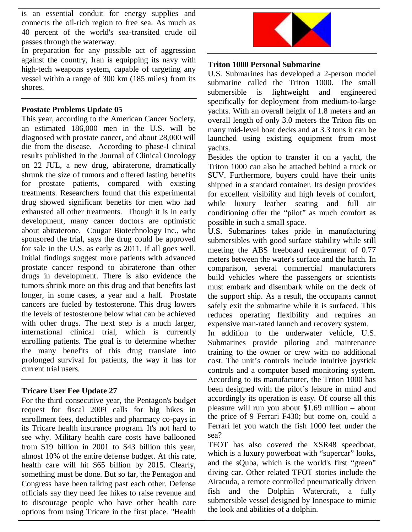is an essential conduit for energy supplies and connects the oil-rich region to free sea. As much as 40 percent of the world's sea-transited crude oil passes through the waterway.

In preparation for any possible act of aggression against the country, Iran is equipping its navy with high-tech weapons system, capable of targeting any vessel within a range of 300 km (185 miles) from its shores.

# **Prostate Problems Update 05**

This year, according to the American Cancer Society, an estimated 186,000 men in the U.S. will be diagnosed with prostate cancer, and about 28,000 will die from the disease. According to phase-I clinical results published in the Journal of Clinical Oncology on 22 JUL, a new drug, abiraterone, dramatically shrunk the size of tumors and offered lasting benefits for prostate patients, compared with existing treatments. Researchers found that this experimental drug showed significant benefits for men who had exhausted all other treatments. Though it is in early development, many cancer doctors are optimistic about abiraterone. Cougar Biotechnology Inc., who sponsored the trial, says the drug could be approved for sale in the U.S. as early as 2011, if all goes well. Initial findings suggest more patients with advanced prostate cancer respond to abiraterone than other drugs in development. There is also evidence the tumors shrink more on this drug and that benefits last longer, in some cases, a year and a half. Prostate cancers are fueled by testosterone. This drug lowers the levels of testosterone below what can be achieved with other drugs. The next step is a much larger, international clinical trial, which is currently enrolling patients. The goal is to determine whether the many benefits of this drug translate into prolonged survival for patients, the way it has for current trial users.

# **Tricare User Fee Update 27**

For the third consecutive year, the Pentagon's budget request for fiscal 2009 calls for big hikes in enrollment fees, deductibles and pharmacy co-pays in its Tricare health insurance program. It's not hard to see why. Military health care costs have ballooned from \$19 billion in 2001 to \$43 billion this year, almost 10% of the entire defense budget. At this rate, health care will hit \$65 billion by 2015. Clearly, something must be done. But so far, the Pentagon and Congress have been talking past each other. Defense officials say they need fee hikes to raise revenue and to discourage people who have other health care options from using Tricare in the first place. "Health



## **Triton 1000 Personal Submarine**

U.S. Submarines has developed a 2-person model submarine called the Triton 1000. The small submersible is lightweight and engineered specifically for deployment from medium-to-large yachts. With an overall height of 1.8 meters and an overall length of only 3.0 meters the Triton fits on many mid-level boat decks and at 3.3 tons it can be launched using existing equipment from most yachts.

Besides the option to transfer it on a yacht, the Triton 1000 can also be attached behind a truck or SUV. Furthermore, buyers could have their units shipped in a standard container. Its design provides for excellent visibility and high levels of comfort, while luxury leather seating and full air conditioning offer the "pilot" as much comfort as possible in such a small space.

U.S. Submarines takes pride in manufacturing submersibles with good surface stability while still meeting the ABS freeboard requirement of 0.77 meters between the water's surface and the hatch. In comparison, several commercial manufacturers build vehicles where the passengers or scientists must embark and disembark while on the deck of the support ship. As a result, the occupants cannot safely exit the submarine while it is surfaced. This reduces operating flexibility and requires an expensive man-rated launch and recovery system.

In addition to the underwater vehicle, U.S. Submarines provide piloting and maintenance training to the owner or crew with no additional cost. The unit's controls include intuitive joystick controls and a computer based monitoring system. According to its manufacturer, the Triton 1000 has been designed with the pilot's leisure in mind and accordingly its operation is easy. Of course all this pleasure will run you about \$1.69 million – about the price of 9 Ferrari F430; but come on, could a Ferrari let you watch the fish 1000 feet under the sea?

TFOT has also covered the XSR48 speedboat, which is a luxury powerboat with "supercar" looks, and the sQuba, which is the world's first "green" diving car. Other related TFOT stories include the Airacuda, a remote controlled pneumatically driven fish and the Dolphin Watercraft, a fully submersible vessel designed by Innespace to mimic the look and abilities of a dolphin.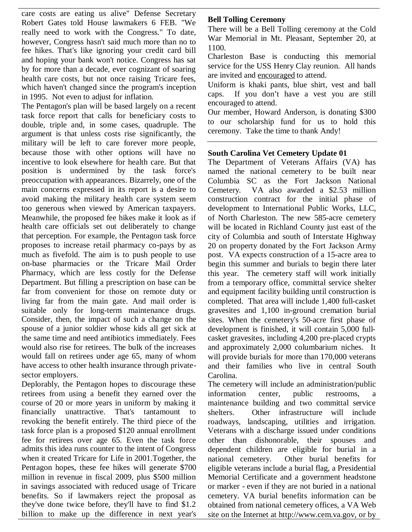care costs are eating us alive" Defense Secretary Robert Gates told House lawmakers 6 FEB. "We really need to work with the Congress." To date, however, Congress hasn't said much more than no to fee hikes. That's like ignoring your credit card bill and hoping your bank won't notice. Congress has sat by for more than a decade, ever cognizant of soaring health care costs, but not once raising Tricare fees, which haven't changed since the program's inception in 1995. Not even to adjust for inflation.

The Pentagon's plan will be based largely on a recent task force report that calls for beneficiary costs to double, triple and, in some cases, quadruple. The argument is that unless costs rise significantly, the military will be left to care forever more people, because those with other options will have no incentive to look elsewhere for health care. But that position is undermined by the task force's preoccupation with appearances. Bizarrely, one of the main concerns expressed in its report is a desire to avoid making the military health care system seem too generous when viewed by American taxpayers. Meanwhile, the proposed fee hikes make it look as if health care officials set out deliberately to change that perception. For example, the Pentagon task force proposes to increase retail pharmacy co-pays by as much as fivefold. The aim is to push people to use on-base pharmacies or the Tricare Mail Order Pharmacy, which are less costly for the Defense Department. But filling a prescription on base can be far from convenient for those on remote duty or living far from the main gate. And mail order is suitable only for long-term maintenance drugs. Consider, then, the impact of such a change on the spouse of a junior soldier whose kids all get sick at the same time and need antibiotics immediately. Fees would also rise for retirees. The bulk of the increases would fall on retirees under age 65, many of whom have access to other health insurance through privatesector employers.

Deplorably, the Pentagon hopes to discourage these retirees from using a benefit they earned over the course of 20 or more years in uniform by making it financially unattractive. That's tantamount to revoking the benefit entirely. The third piece of the task force plan is a proposed \$120 annual enrollment fee for retirees over age 65. Even the task force admits this idea runs counter to the intent of Congress when it created Tricare for Life in 2001.Together, the Pentagon hopes, these fee hikes will generate \$700 million in revenue in fiscal 2009, plus \$500 million in savings associated with reduced usage of Tricare benefits. So if lawmakers reject the proposal as they've done twice before, they'll have to find \$1.2 billion to make up the difference in next year's

# **Bell Tolling Ceremony**

There will be a Bell Tolling ceremony at the Cold War Memorial in Mt. Pleasant, September 20, at 1100.

Charleston Base is conducting this memorial service for the USS Henry Clay reunion. All hands are invited and encouraged to attend.

Uniform is khaki pants, blue shirt, vest and ball caps. If you don't have a vest you are still encouraged to attend.

Our member, Howard Anderson, is donating \$300 to our scholarship fund for us to hold this ceremony. Take the time to thank Andy!

# **South Carolina Vet Cemetery Update 01**

The Department of Veterans Affairs (VA) has named the national cemetery to be built near Columbia SC as the Fort Jackson National Cemetery. VA also awarded a \$2.53 million construction contract for the initial phase of development to International Public Works, LLC, of North Charleston. The new 585-acre cemetery will be located in Richland County just east of the city of Columbia and south of Interstate Highway 20 on property donated by the Fort Jackson Army post. VA expects construction of a 15-acre area to begin this summer and burials to begin there later this year. The cemetery staff will work initially from a temporary office, committal service shelter and equipment facility building until construction is completed. That area will include 1,400 full-casket gravesites and 1,100 in-ground cremation burial sites. When the cemetery's 50-acre first phase of development is finished, it will contain 5,000 fullcasket gravesites, including 4,200 pre-placed crypts and approximately 2,000 columbarium niches. It will provide burials for more than 170,000 veterans and their families who live in central South Carolina.

The cemetery will include an administration/public information center, public restrooms, a maintenance building and two committal service Other infrastructure will include roadways, landscaping, utilities and irrigation. Veterans with a discharge issued under conditions other than dishonorable, their spouses and dependent children are eligible for burial in a national cemetery. Other burial benefits for eligible veterans include a burial flag, a Presidential Memorial Certificate and a government headstone or marker - even if they are not buried in a national cemetery. VA burial benefits information can be obtained from national cemetery offices, a VA Web site on the Internet at http://www.cem.va.gov, or by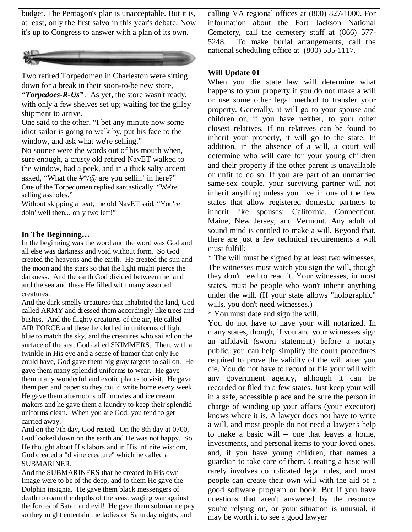budget. The Pentagon's plan is unacceptable. But it is, at least, only the first salvo in this year's debate. Now it's up to Congress to answer with a plan of its own.



Two retired Torpedomen in Charleston were sitting down for a break in their soon-to-be new store, *"Torpedoes-R-Us"*. As yet, the store wasn't ready, with only a few shelves set up; waiting for the gilley shipment to arrive.

One said to the other, "I bet any minute now some idiot sailor is going to walk by, put his face to the window, and ask what we're selling."

No sooner were the words out of his mouth when, sure enough, a crusty old retired NavET walked to the window, had a peek, and in a thick salty accent asked, "What the  $\#^*/@$  are you sellin' in here?" One of the Torpedomen replied sarcastically, "We're selling assholes."

Without skipping a beat, the old NavET said, "You're doin' well then... only two left!"

#### **In The Beginning…**

In the beginning was the word and the word was God and all else was darkness and void without form. So God created the heavens and the earth. He created the sun and the moon and the stars so that the light might pierce the darkness. And the earth God divided between the land and the sea and these He filled with many assorted creatures.

And the dark smelly creatures that inhabited the land, God called ARMY and dressed them accordingly like trees and bushes. And the flighty creatures of the air, He called AIR FORCE and these he clothed in uniforms of light blue to match the sky, and the creatures who sailed on the surface of the sea, God called SKIMMERS. Then, with a twinkle in His eye and a sense of humor that only He could have, God gave them big gray targets to sail on. He gave them many splendid uniforms to wear. He gave them many wonderful and exotic places to visit. He gave them pen and paper so they could write home every week. He gave them afternoons off, movies and ice cream makers and he gave them a laundry to keep their splendid uniforms clean. When you are God, you tend to get carried away.

And on the 7th day, God rested. On the 8th day at 0700, God looked down on the earth and He was not happy. So He thought about His labors and in His infinite wisdom, God created a "divine creature" which he called a **SUBMARINER** 

And the SUBMARINERS that he created in His own Image were to be of the deep, and to them He gave the Dolphin insignia. He gave them black messengers of death to roam the depths of the seas, waging war against the forces of Satan and evil! He gave them submarine pay so they might entertain the ladies on Saturday nights, and

calling VA regional offices at (800) 827-1000. For information about the Fort Jackson National Cemetery, call the cemetery staff at (866) 577- 5248. To make burial arrangements, call the national scheduling office at (800) 535-1117.

## **Will Update 01**

When you die state law will determine what happens to your property if you do not make a will or use some other legal method to transfer your property. Generally, it will go to your spouse and children or, if you have neither, to your other closest relatives. If no relatives can be found to inherit your property, it will go to the state. In addition, in the absence of a will, a court will determine who will care for your young children and their property if the other parent is unavailable or unfit to do so. If you are part of an unmarried same-sex couple, your surviving partner will not inherit anything unless you live in one of the few states that allow registered domestic partners to inherit like spouses: California, Connecticut, Maine, New Jersey, and Vermont. Any adult of sound mind is entitled to make a will. Beyond that, there are just a few technical requirements a will must fulfill:

\* The will must be signed by at least two witnesses. The witnesses must watch you sign the will, though they don't need to read it. Your witnesses, in most states, must be people who won't inherit anything under the will. (If your state allows "holographic" wills, you don't need witnesses.)

\* You must date and sign the will.

You do not have to have your will notarized. In many states, though, if you and your witnesses sign an affidavit (sworn statement) before a notary public, you can help simplify the court procedures required to prove the validity of the will after you die. You do not have to record or file your will with any government agency, although it can be recorded or filed in a few states. Just keep your will in a safe, accessible place and be sure the person in charge of winding up your affairs (your executor) knows where it is. A lawyer does not have to write a will, and most people do not need a lawyer's help to make a basic will -- one that leaves a home, investments, and personal items to your loved ones, and, if you have young children, that names a guardian to take care of them. Creating a basic will rarely involves complicated legal rules, and most people can create their own will with the aid of a good software program or book. But if you have questions that aren't answered by the resource you're relying on, or your situation is unusual, it may be worth it to see a good lawyer